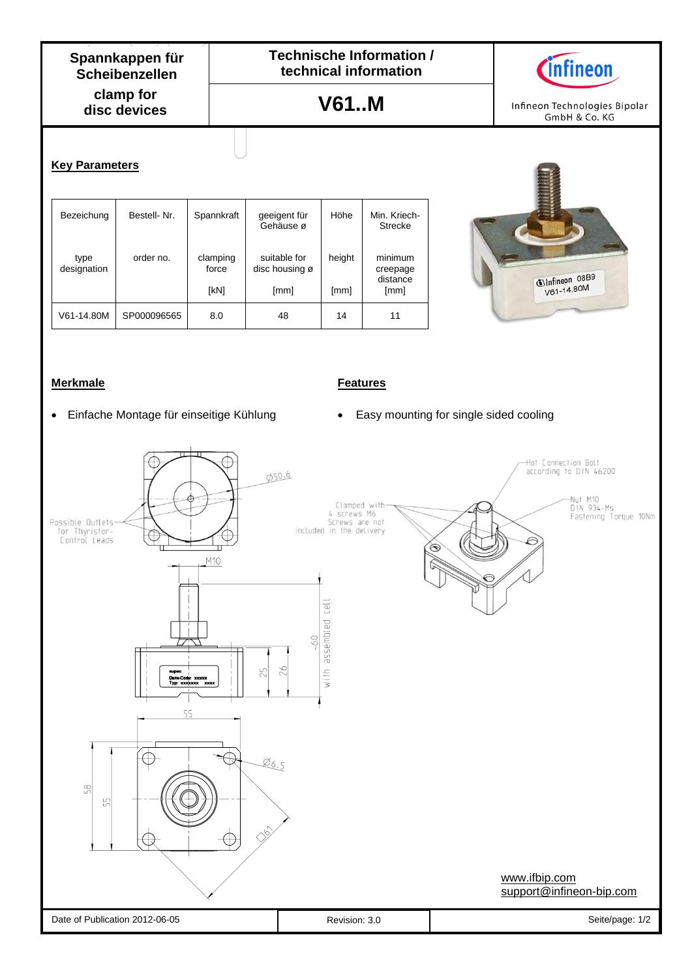**clamp for disc devices Spannkappen für Scheibenzellen**

**Technische Information / technical information**

**V61..M**



Infineon Technologies Bipolar GmbH & Co. KG

## **Key Parameters**

| Bezeichung          | Bestell-Nr. | Spannkraft                | geeigent für<br>Gehäuse ø              | Höhe           | Min. Kriech-<br><b>Strecke</b>          |
|---------------------|-------------|---------------------------|----------------------------------------|----------------|-----------------------------------------|
| type<br>designation | order no.   | clamping<br>force<br>[kN] | suitable for<br>disc housing ø<br>[mm] | height<br>[mm] | minimum<br>creepage<br>distance<br>[mm] |
| V61-14.80M          | SP000096565 | 8.0                       | 48                                     | 14             | 11                                      |



## **Merkmale Features**

- 
- Einfache Montage für einseitige Kühlung \* Easy mounting for single sided cooling